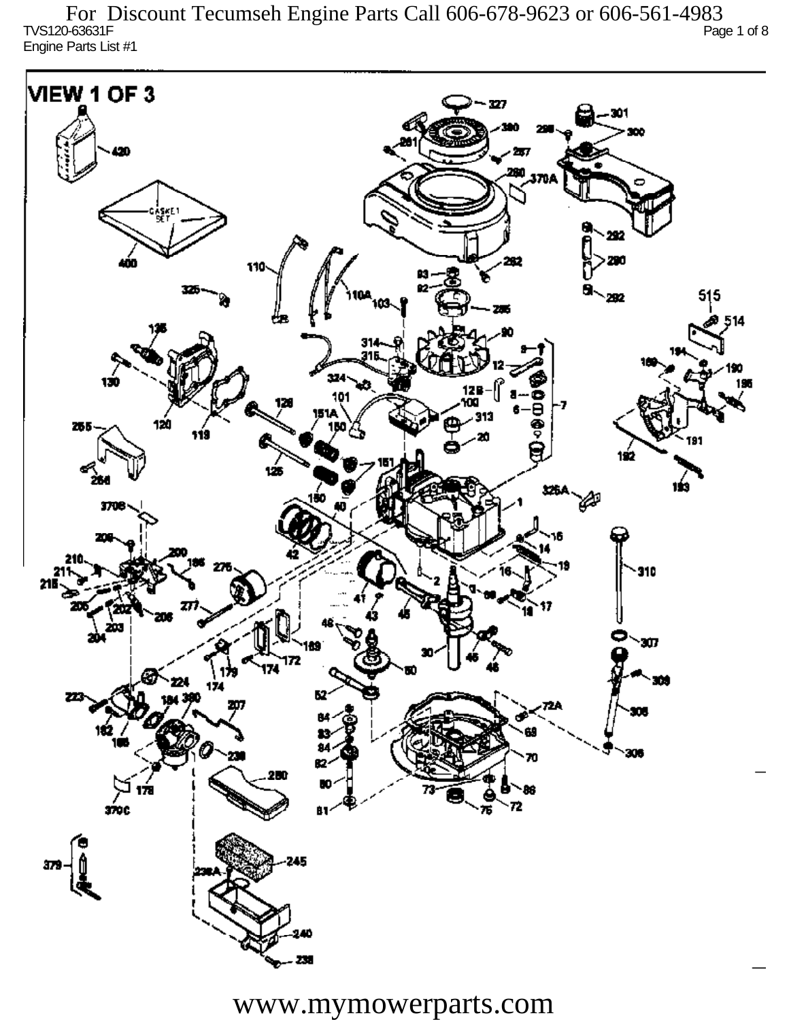TVS120-63631F Page 1 of 8 Engine Parts List #1 For Discount Tecumseh Engine Parts Call 606-678-9623 or 606-561-4983

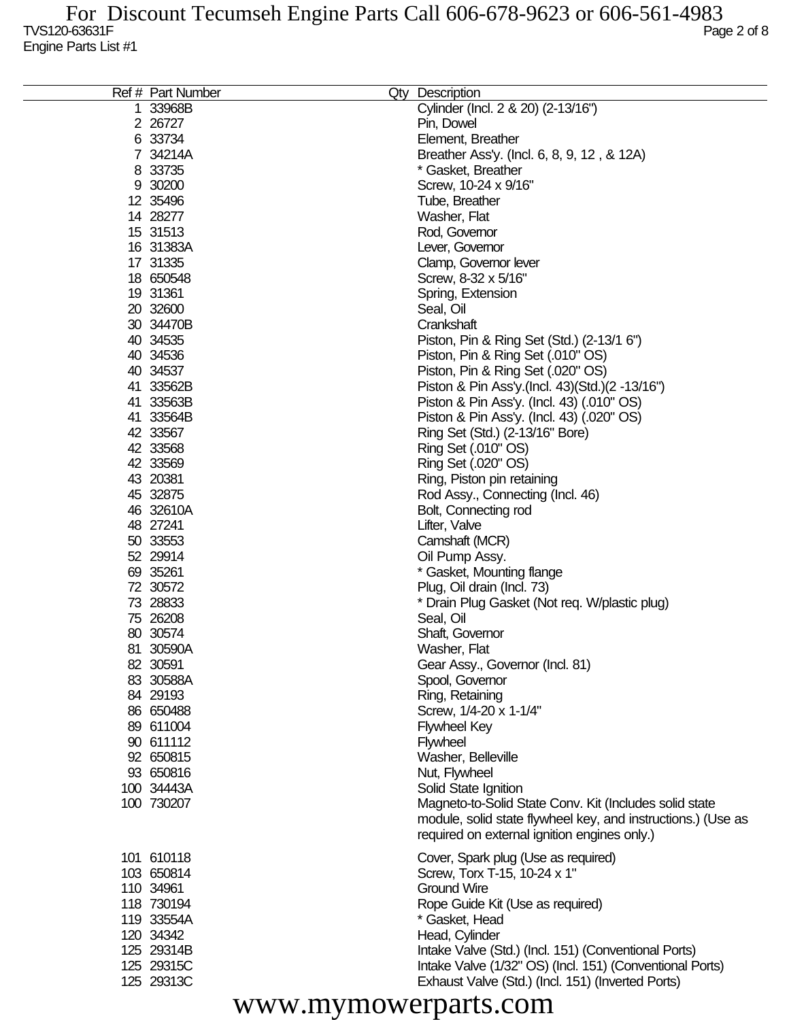| Ref # Part Number | Qty | Description                                                  |
|-------------------|-----|--------------------------------------------------------------|
| 1 33968B          |     | Cylinder (Incl. 2 & 20) (2-13/16")                           |
| 2 26727           |     | Pin, Dowel                                                   |
|                   |     |                                                              |
| 6 33734           |     | Element, Breather                                            |
| 7 34214A          |     | Breather Ass'y. (Incl. 6, 8, 9, 12, & 12A)                   |
| 8 33735           |     | * Gasket, Breather                                           |
| 9 30200           |     | Screw, 10-24 x 9/16"                                         |
| 12 35496          |     | Tube, Breather                                               |
| 14 28277          |     | Washer, Flat                                                 |
| 15 31513          |     | Rod, Governor                                                |
| 16 31383A         |     | Lever, Governor                                              |
| 17 31335          |     | Clamp, Governor lever                                        |
| 18 650548         |     | Screw, 8-32 x 5/16"                                          |
| 19 31361          |     | Spring, Extension                                            |
| 20 32600          |     |                                                              |
|                   |     | Seal, Oil                                                    |
| 30 34470B         |     | Crankshaft                                                   |
| 40 34535          |     | Piston, Pin & Ring Set (Std.) (2-13/1 6")                    |
| 40 34536          |     | Piston, Pin & Ring Set (.010" OS)                            |
| 40 34537          |     | Piston, Pin & Ring Set (.020" OS)                            |
| 41 33562B         |     | Piston & Pin Ass'y (Incl. 43) (Std.) (2 -13/16")             |
| 41 33563B         |     | Piston & Pin Ass'y. (Incl. 43) (.010" OS)                    |
| 41 33564B         |     | Piston & Pin Ass'y. (Incl. 43) (.020" OS)                    |
| 42 33567          |     | Ring Set (Std.) (2-13/16" Bore)                              |
| 42 33568          |     | Ring Set (.010" OS)                                          |
| 42 33569          |     | Ring Set (.020" OS)                                          |
| 43 20381          |     | Ring, Piston pin retaining                                   |
|                   |     |                                                              |
| 45 32875          |     | Rod Assy., Connecting (Incl. 46)                             |
| 46 32610A         |     | Bolt, Connecting rod                                         |
| 48 27241          |     | Lifter, Valve                                                |
| 50 33553          |     | Camshaft (MCR)                                               |
| 52 29914          |     | Oil Pump Assy.                                               |
| 69 35261          |     | * Gasket, Mounting flange                                    |
| 72 30572          |     | Plug, Oil drain (Incl. 73)                                   |
| 73 28833          |     | * Drain Plug Gasket (Not reg. W/plastic plug)                |
| 75 26208          |     | Seal, Oil                                                    |
| 80 30574          |     | Shaft, Governor                                              |
| 81 30590A         |     | Washer, Flat                                                 |
| 82 30591          |     | Gear Assy., Governor (Incl. 81)                              |
| 83 30588A         |     | Spool, Governor                                              |
| 84 29193          |     |                                                              |
|                   |     | Ring, Retaining                                              |
| 86 650488         |     | Screw, 1/4-20 x 1-1/4"                                       |
| 89 611004         |     | <b>Flywheel Key</b>                                          |
| 90 611112         |     | <b>Flywheel</b>                                              |
| 92 650815         |     | Washer, Belleville                                           |
| 93 650816         |     | Nut, Flywheel                                                |
| 100 34443A        |     | Solid State Ignition                                         |
| 100 730207        |     | Magneto-to-Solid State Conv. Kit (Includes solid state       |
|                   |     | module, solid state flywheel key, and instructions.) (Use as |
|                   |     | required on external ignition engines only.)                 |
|                   |     |                                                              |
| 101 610118        |     | Cover, Spark plug (Use as required)                          |
| 103 650814        |     | Screw, Torx T-15, 10-24 x 1"                                 |
| 110 34961         |     | <b>Ground Wire</b>                                           |
| 118 730194        |     | Rope Guide Kit (Use as required)                             |
| 119 33554A        |     | * Gasket, Head                                               |
| 120 34342         |     | Head, Cylinder                                               |
| 125 29314B        |     | Intake Valve (Std.) (Incl. 151) (Conventional Ports)         |
| 125 29315C        |     | Intake Valve (1/32" OS) (Incl. 151) (Conventional Ports)     |
| 125 29313C        |     | Exhaust Valve (Std.) (Incl. 151) (Inverted Ports)            |
|                   |     |                                                              |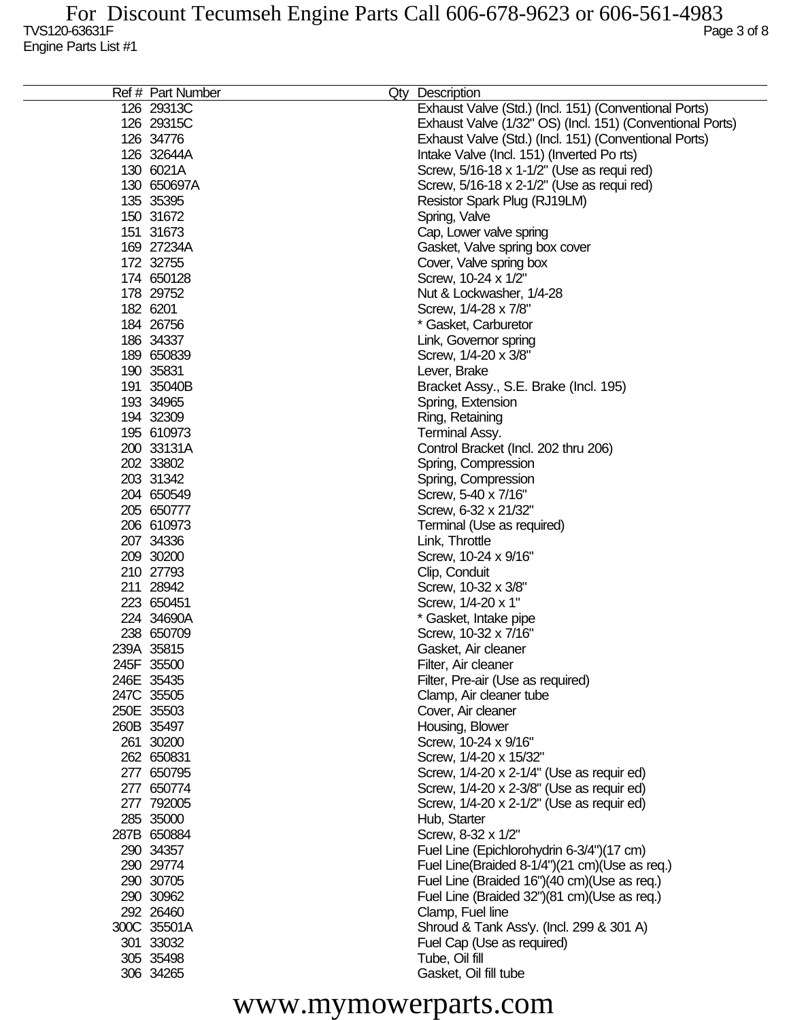| Ref # Part Number | Qty Description                                           |
|-------------------|-----------------------------------------------------------|
| 126 29313C        | Exhaust Valve (Std.) (Incl. 151) (Conventional Ports)     |
| 126 29315C        | Exhaust Valve (1/32" OS) (Incl. 151) (Conventional Ports) |
| 126 34776         | Exhaust Valve (Std.) (Incl. 151) (Conventional Ports)     |
| 126 32644A        | Intake Valve (Incl. 151) (Inverted Po rts)                |
| 130 6021A         | Screw, 5/16-18 x 1-1/2" (Use as requi red)                |
| 130 650697A       | Screw, 5/16-18 x 2-1/2" (Use as requi red)                |
| 135 35395         | Resistor Spark Plug (RJ19LM)                              |
| 150 31672         | Spring, Valve                                             |
| 151 31673         | Cap, Lower valve spring                                   |
| 169 27234A        | Gasket, Valve spring box cover                            |
| 172 32755         |                                                           |
|                   | Cover, Valve spring box                                   |
| 174 650128        | Screw, 10-24 x 1/2"                                       |
| 178 29752         | Nut & Lockwasher, 1/4-28                                  |
| 182 6201          | Screw, 1/4-28 x 7/8"                                      |
| 184 26756         | * Gasket, Carburetor                                      |
| 186 34337         | Link, Governor spring                                     |
| 189 650839        | Screw, 1/4-20 x 3/8"                                      |
| 190 35831         | Lever, Brake                                              |
| 191 35040B        | Bracket Assy., S.E. Brake (Incl. 195)                     |
| 193 34965         | Spring, Extension                                         |
| 194 32309         | Ring, Retaining                                           |
| 195 610973        | Terminal Assy.                                            |
| 200 33131A        | Control Bracket (Incl. 202 thru 206)                      |
| 202 33802         | Spring, Compression                                       |
| 203 31342         | Spring, Compression                                       |
| 204 650549        | Screw, 5-40 x 7/16"                                       |
| 205 650777        | Screw, 6-32 x 21/32"                                      |
| 206 610973        | Terminal (Use as required)                                |
| 207 34336         | Link, Throttle                                            |
| 209 30200         | Screw, 10-24 x 9/16"                                      |
| 210 27793         | Clip, Conduit                                             |
| 211 28942         | Screw, 10-32 x 3/8"                                       |
| 223 650451        | Screw, 1/4-20 x 1"                                        |
| 224 34690A        | * Gasket, Intake pipe                                     |
| 238 650709        | Screw, 10-32 x 7/16"                                      |
| 239A 35815        | Gasket, Air cleaner                                       |
| 245F 35500        | Filter, Air cleaner                                       |
| 246E 35435        | Filter, Pre-air (Use as required)                         |
| 247C 35505        | Clamp, Air cleaner tube                                   |
| 250E 35503        | Cover, Air cleaner                                        |
| 260B 35497        | Housing, Blower                                           |
| 261 30200         | Screw, 10-24 x 9/16"                                      |
| 262 650831        | Screw, 1/4-20 x 15/32"                                    |
| 277 650795        | Screw, 1/4-20 x 2-1/4" (Use as requir ed)                 |
| 277 650774        | Screw, 1/4-20 x 2-3/8" (Use as requir ed)                 |
| 277 792005        | Screw, 1/4-20 x 2-1/2" (Use as requir ed)                 |
| 285 35000         | Hub, Starter                                              |
| 287B 650884       | Screw, 8-32 x 1/2"                                        |
| 290 34357         | Fuel Line (Epichlorohydrin 6-3/4")(17 cm)                 |
| 290 29774         | Fuel Line(Braided 8-1/4")(21 cm)(Use as req.)             |
| 290 30705         | Fuel Line (Braided 16")(40 cm)(Use as req.)               |
| 290 30962         | Fuel Line (Braided 32")(81 cm)(Use as req.)               |
| 292 26460         | Clamp, Fuel line                                          |
| 300C 35501A       | Shroud & Tank Ass'y. (Incl. 299 & 301 A)                  |
| 301 33032         | Fuel Cap (Use as required)                                |
| 305 35498         | Tube, Oil fill                                            |
| 306 34265         | Gasket, Oil fill tube                                     |
|                   |                                                           |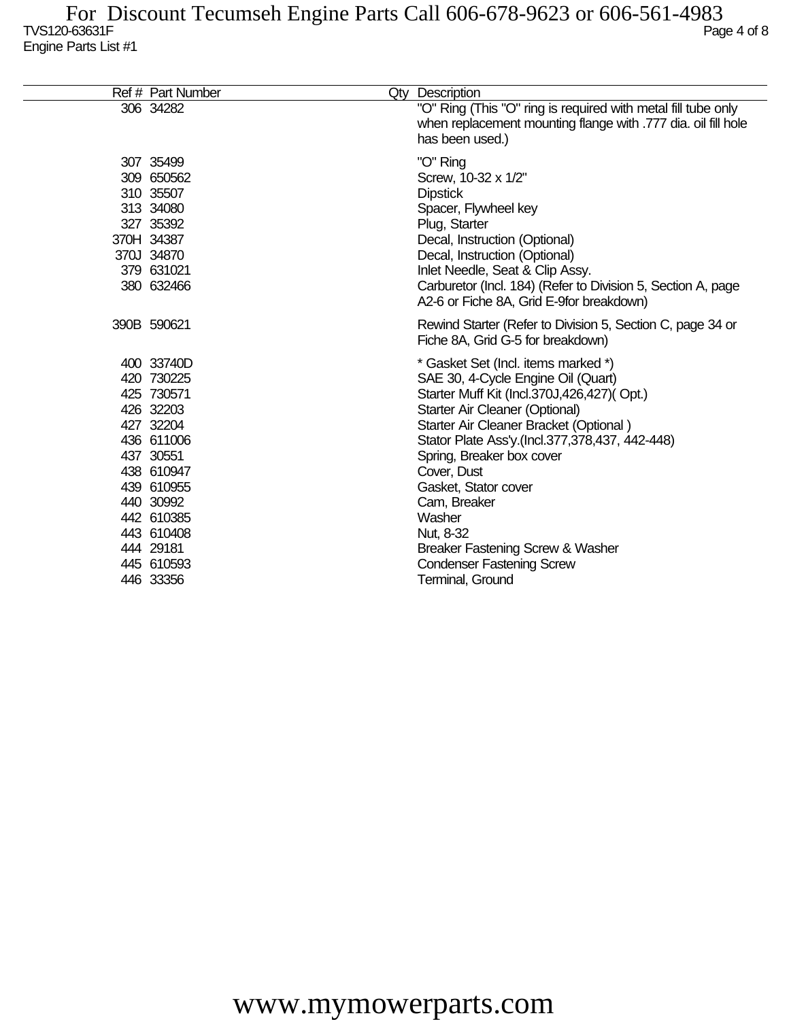| Ref # Part Number                                                                                                                                                                                        | Qty Description                                                                                                                                                                                                                                                                                                                                                                                                                                                     |
|----------------------------------------------------------------------------------------------------------------------------------------------------------------------------------------------------------|---------------------------------------------------------------------------------------------------------------------------------------------------------------------------------------------------------------------------------------------------------------------------------------------------------------------------------------------------------------------------------------------------------------------------------------------------------------------|
| 306 34282                                                                                                                                                                                                | "O" Ring (This "O" ring is required with metal fill tube only<br>when replacement mounting flange with .777 dia. oil fill hole<br>has been used.)                                                                                                                                                                                                                                                                                                                   |
| 307 35499<br>309 650562<br>310 35507<br>313 34080<br>327 35392<br>370H 34387<br>370J 34870<br>379 631021<br>380 632466                                                                                   | "O" Ring<br>Screw, 10-32 x 1/2"<br><b>Dipstick</b><br>Spacer, Flywheel key<br>Plug, Starter<br>Decal, Instruction (Optional)<br>Decal, Instruction (Optional)<br>Inlet Needle, Seat & Clip Assy.<br>Carburetor (Incl. 184) (Refer to Division 5, Section A, page<br>A2-6 or Fiche 8A, Grid E-9for breakdown)                                                                                                                                                        |
| 390B 590621                                                                                                                                                                                              | Rewind Starter (Refer to Division 5, Section C, page 34 or<br>Fiche 8A, Grid G-5 for breakdown)                                                                                                                                                                                                                                                                                                                                                                     |
| 400 33740D<br>420 730225<br>425 730571<br>426 32203<br>427 32204<br>436 611006<br>437 30551<br>438 610947<br>439 610955<br>440 30992<br>442 610385<br>443 610408<br>444 29181<br>445 610593<br>446 33356 | * Gasket Set (Incl. items marked *)<br>SAE 30, 4-Cycle Engine Oil (Quart)<br>Starter Muff Kit (Incl.370J,426,427)(Opt.)<br>Starter Air Cleaner (Optional)<br>Starter Air Cleaner Bracket (Optional)<br>Stator Plate Ass'y.(Incl.377,378,437, 442-448)<br>Spring, Breaker box cover<br>Cover, Dust<br>Gasket, Stator cover<br>Cam, Breaker<br>Washer<br>Nut, 8-32<br>Breaker Fastening Screw & Washer<br><b>Condenser Fastening Screw</b><br><b>Terminal, Ground</b> |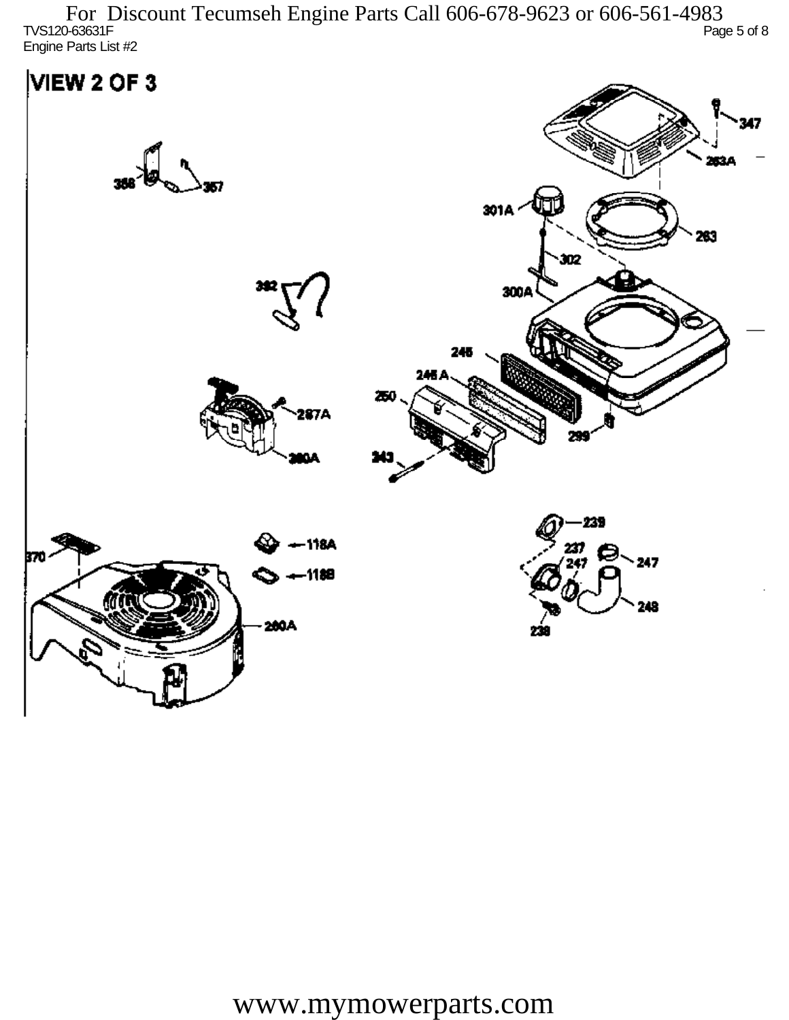TVS120-63631F Page 5 of 8 Engine Parts List #2 For Discount Tecumseh Engine Parts Call 606-678-9623 or 606-561-4983

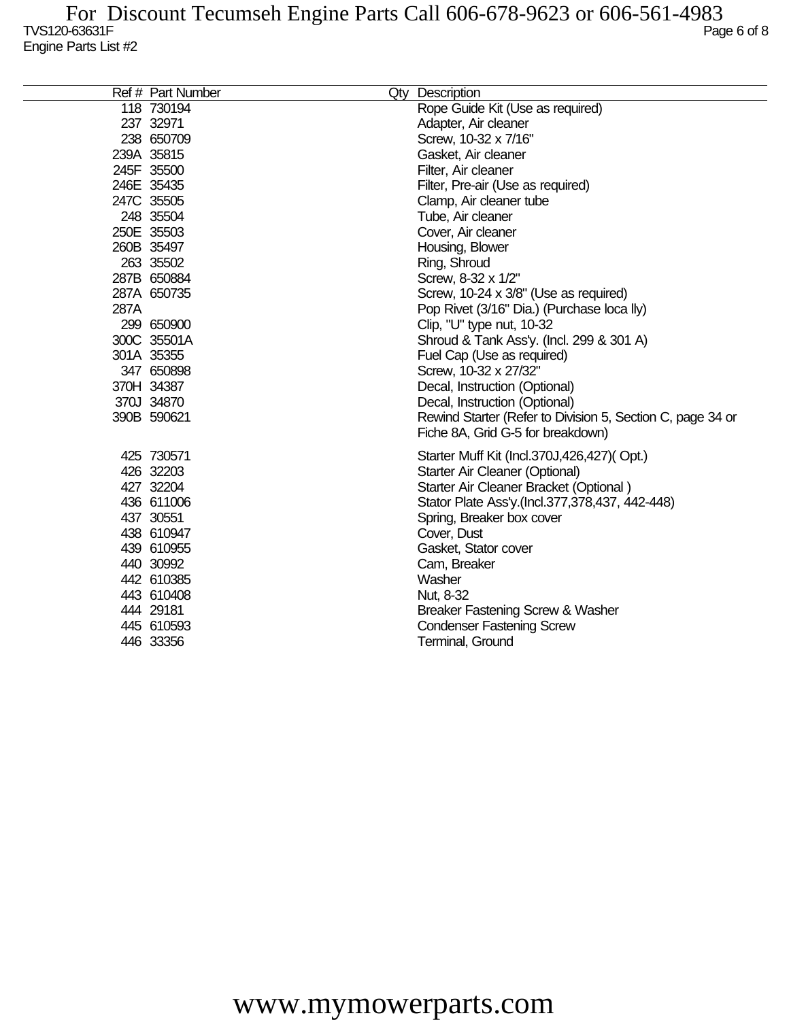|      | Ref # Part Number | Qty Description                                            |
|------|-------------------|------------------------------------------------------------|
|      | 118 730194        | Rope Guide Kit (Use as required)                           |
|      | 237 32971         | Adapter, Air cleaner                                       |
|      | 238 650709        | Screw, 10-32 x 7/16"                                       |
|      | 239A 35815        | Gasket, Air cleaner                                        |
|      | 245F 35500        | Filter, Air cleaner                                        |
|      | 246E 35435        | Filter, Pre-air (Use as required)                          |
|      | 247C 35505        | Clamp, Air cleaner tube                                    |
|      | 248 35504         | Tube, Air cleaner                                          |
|      | 250E 35503        | Cover, Air cleaner                                         |
|      | 260B 35497        | Housing, Blower                                            |
|      | 263 35502         | Ring, Shroud                                               |
|      | 287B 650884       | Screw, 8-32 x 1/2"                                         |
|      | 287A 650735       | Screw, 10-24 x 3/8" (Use as required)                      |
| 287A |                   | Pop Rivet (3/16" Dia.) (Purchase loca lly)                 |
|      | 299 650900        | Clip, "U" type nut, 10-32                                  |
|      | 300C 35501A       | Shroud & Tank Ass'y. (Incl. 299 & 301 A)                   |
|      | 301A 35355        | Fuel Cap (Use as required)                                 |
|      | 347 650898        | Screw, 10-32 x 27/32"                                      |
|      | 370H 34387        | Decal, Instruction (Optional)                              |
|      | 370J 34870        | Decal, Instruction (Optional)                              |
|      | 390B 590621       | Rewind Starter (Refer to Division 5, Section C, page 34 or |
|      |                   | Fiche 8A, Grid G-5 for breakdown)                          |
|      | 425 730571        | Starter Muff Kit (Incl.370J,426,427)(Opt.)                 |
|      | 426 32203         | Starter Air Cleaner (Optional)                             |
|      | 427 32204         | Starter Air Cleaner Bracket (Optional)                     |
|      | 436 611006        | Stator Plate Ass'y.(Incl.377,378,437, 442-448)             |
|      | 437 30551         | Spring, Breaker box cover                                  |
|      | 438 610947        | Cover, Dust                                                |
|      | 439 610955        | Gasket, Stator cover                                       |
|      | 440 30992         | Cam, Breaker                                               |
|      | 442 610385        | Washer                                                     |
|      | 443 610408        | Nut, 8-32                                                  |
|      | 444 29181         | Breaker Fastening Screw & Washer                           |
|      | 445 610593        | <b>Condenser Fastening Screw</b>                           |
|      | 446 33356         | Terminal, Ground                                           |
|      |                   |                                                            |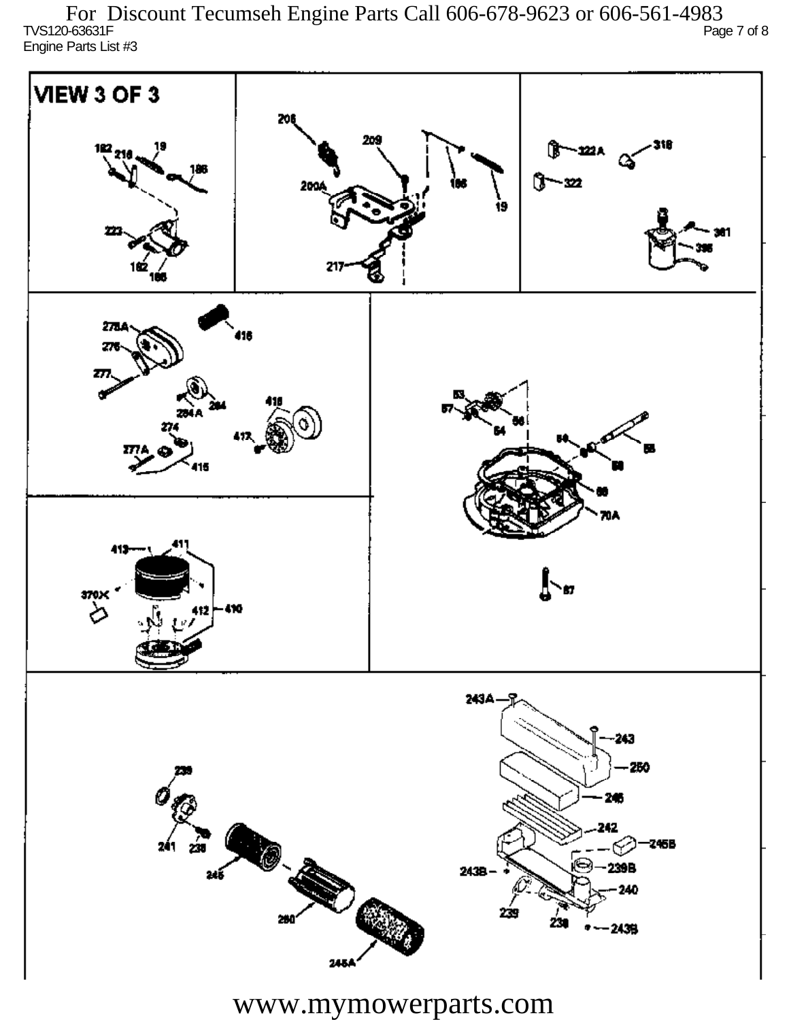TVS120-63631F Page 7 of 8 Engine Parts List #3 For Discount Tecumseh Engine Parts Call 606-678-9623 or 606-561-4983